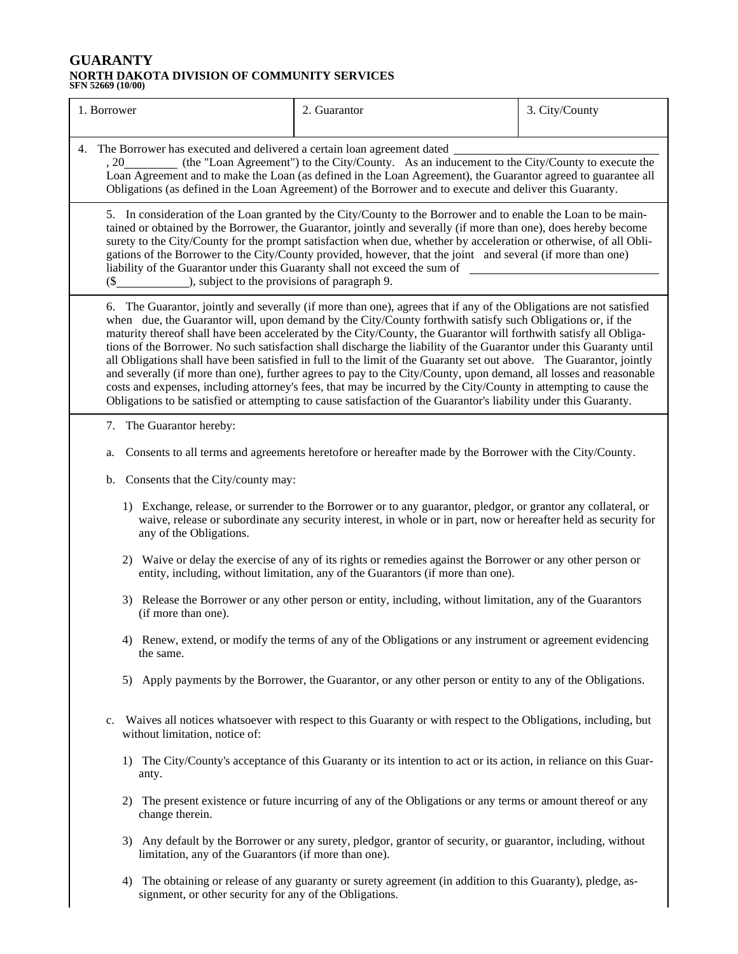## **GUARANTY NORTH DAKOTA DIVISION OF COMMUNITY SERVICES SFN 52669 (10/00)**

| 1. Borrower                                                                                                                                                                                                                                                                                                                                                                                                                                                                                                                                                                                                                                                                                                                                                                                                                                                                                                                                                            | 2. Guarantor                                                                                                                                                          | 3. City/County |  |
|------------------------------------------------------------------------------------------------------------------------------------------------------------------------------------------------------------------------------------------------------------------------------------------------------------------------------------------------------------------------------------------------------------------------------------------------------------------------------------------------------------------------------------------------------------------------------------------------------------------------------------------------------------------------------------------------------------------------------------------------------------------------------------------------------------------------------------------------------------------------------------------------------------------------------------------------------------------------|-----------------------------------------------------------------------------------------------------------------------------------------------------------------------|----------------|--|
| 4. The Borrower has executed and delivered a certain loan agreement dated _<br>, 20__________ (the "Loan Agreement") to the City/County. As an inducement to the City/County to execute the<br>Loan Agreement and to make the Loan (as defined in the Loan Agreement), the Guarantor agreed to guarantee all<br>Obligations (as defined in the Loan Agreement) of the Borrower and to execute and deliver this Guaranty.                                                                                                                                                                                                                                                                                                                                                                                                                                                                                                                                               |                                                                                                                                                                       |                |  |
| 5. In consideration of the Loan granted by the City/County to the Borrower and to enable the Loan to be main-<br>tained or obtained by the Borrower, the Guarantor, jointly and severally (if more than one), does hereby become<br>surety to the City/County for the prompt satisfaction when due, whether by acceleration or otherwise, of all Obli-<br>gations of the Borrower to the City/County provided, however, that the joint and several (if more than one)<br>liability of the Guarantor under this Guaranty shall not exceed the sum of<br>$($ \$<br>), subject to the provisions of paragraph 9.                                                                                                                                                                                                                                                                                                                                                          |                                                                                                                                                                       |                |  |
| 6. The Guarantor, jointly and severally (if more than one), agrees that if any of the Obligations are not satisfied<br>when due, the Guarantor will, upon demand by the City/County forthwith satisfy such Obligations or, if the<br>maturity thereof shall have been accelerated by the City/County, the Guarantor will forthwith satisfy all Obliga-<br>tions of the Borrower. No such satisfaction shall discharge the liability of the Guarantor under this Guaranty until<br>all Obligations shall have been satisfied in full to the limit of the Guaranty set out above. The Guarantor, jointly<br>and severally (if more than one), further agrees to pay to the City/County, upon demand, all losses and reasonable<br>costs and expenses, including attorney's fees, that may be incurred by the City/County in attempting to cause the<br>Obligations to be satisfied or attempting to cause satisfaction of the Guarantor's liability under this Guaranty. |                                                                                                                                                                       |                |  |
| 7. The Guarantor hereby:                                                                                                                                                                                                                                                                                                                                                                                                                                                                                                                                                                                                                                                                                                                                                                                                                                                                                                                                               |                                                                                                                                                                       |                |  |
| Consents to all terms and agreements heretofore or hereafter made by the Borrower with the City/County.<br>a.                                                                                                                                                                                                                                                                                                                                                                                                                                                                                                                                                                                                                                                                                                                                                                                                                                                          |                                                                                                                                                                       |                |  |
| b. Consents that the City/county may:                                                                                                                                                                                                                                                                                                                                                                                                                                                                                                                                                                                                                                                                                                                                                                                                                                                                                                                                  |                                                                                                                                                                       |                |  |
| 1) Exchange, release, or surrender to the Borrower or to any guarantor, pledgor, or grantor any collateral, or<br>waive, release or subordinate any security interest, in whole or in part, now or hereafter held as security for<br>any of the Obligations.                                                                                                                                                                                                                                                                                                                                                                                                                                                                                                                                                                                                                                                                                                           |                                                                                                                                                                       |                |  |
| 2) Waive or delay the exercise of any of its rights or remedies against the Borrower or any other person or<br>entity, including, without limitation, any of the Guarantors (if more than one).                                                                                                                                                                                                                                                                                                                                                                                                                                                                                                                                                                                                                                                                                                                                                                        |                                                                                                                                                                       |                |  |
| 3) Release the Borrower or any other person or entity, including, without limitation, any of the Guarantors<br>(if more than one).                                                                                                                                                                                                                                                                                                                                                                                                                                                                                                                                                                                                                                                                                                                                                                                                                                     |                                                                                                                                                                       |                |  |
| 4) Renew, extend, or modify the terms of any of the Obligations or any instrument or agreement evidencing<br>the same.                                                                                                                                                                                                                                                                                                                                                                                                                                                                                                                                                                                                                                                                                                                                                                                                                                                 |                                                                                                                                                                       |                |  |
| 5) Apply payments by the Borrower, the Guarantor, or any other person or entity to any of the Obligations.                                                                                                                                                                                                                                                                                                                                                                                                                                                                                                                                                                                                                                                                                                                                                                                                                                                             |                                                                                                                                                                       |                |  |
| Waives all notices whatsoever with respect to this Guaranty or with respect to the Obligations, including, but<br>$c_{\cdot}$<br>without limitation, notice of:                                                                                                                                                                                                                                                                                                                                                                                                                                                                                                                                                                                                                                                                                                                                                                                                        |                                                                                                                                                                       |                |  |
| 1) The City/County's acceptance of this Guaranty or its intention to act or its action, in reliance on this Guar-<br>anty.                                                                                                                                                                                                                                                                                                                                                                                                                                                                                                                                                                                                                                                                                                                                                                                                                                             |                                                                                                                                                                       |                |  |
| change therein.                                                                                                                                                                                                                                                                                                                                                                                                                                                                                                                                                                                                                                                                                                                                                                                                                                                                                                                                                        | 2) The present existence or future incurring of any of the Obligations or any terms or amount thereof or any                                                          |                |  |
|                                                                                                                                                                                                                                                                                                                                                                                                                                                                                                                                                                                                                                                                                                                                                                                                                                                                                                                                                                        | 3) Any default by the Borrower or any surety, pledgor, grantor of security, or guarantor, including, without<br>limitation, any of the Guarantors (if more than one). |                |  |
| 4)                                                                                                                                                                                                                                                                                                                                                                                                                                                                                                                                                                                                                                                                                                                                                                                                                                                                                                                                                                     | The obtaining or release of any guaranty or surety agreement (in addition to this Guaranty), pledge, as-<br>signment, or other security for any of the Obligations.   |                |  |